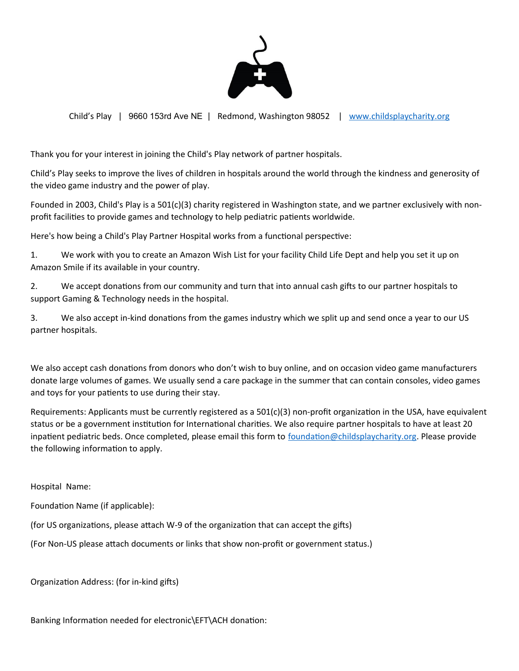

Child's Play | 9660 153rd Ave NE | Redmond, Washington 98052 | www.childsplaycharity.org

Thank you for your interest in joining the Child's Play network of partner hospitals.

Child's Play seeks to improve the lives of children in hospitals around the world through the kindness and generosity of the video game industry and the power of play.

Founded in 2003, Child's Play is a 501(c)(3) charity registered in Washington state, and we partner exclusively with nonprofit facilities to provide games and technology to help pediatric patients worldwide.

Here's how being a Child's Play Partner Hospital works from a functional perspective:

1. We work with you to create an Amazon Wish List for your facility Child Life Dept and help you set it up on Amazon Smile if its available in your country.

2. We accept donations from our community and turn that into annual cash gifts to our partner hospitals to support Gaming & Technology needs in the hospital.

3. We also accept in-kind donations from the games industry which we split up and send once a year to our US partner hospitals.

We also accept cash donations from donors who don't wish to buy online, and on occasion video game manufacturers donate large volumes of games. We usually send a care package in the summer that can contain consoles, video games and toys for your patients to use during their stay.

Requirements: Applicants must be currently registered as a  $501(c)(3)$  non-profit organization in the USA, have equivalent status or be a government institution for International charities. We also require partner hospitals to have at least 20 inpatient pediatric beds. Once completed, please email this form to foundation@childsplaycharity.org. Please provide the following information to apply.

Hospital Name:

Foundation Name (if applicable):

(for US organizations, please attach W-9 of the organization that can accept the gifts)

(For Non-US please attach documents or links that show non-profit or government status.)

Organization Address: (for in-kind gifts)

Banking Information needed for electronic\EFT\ACH donation: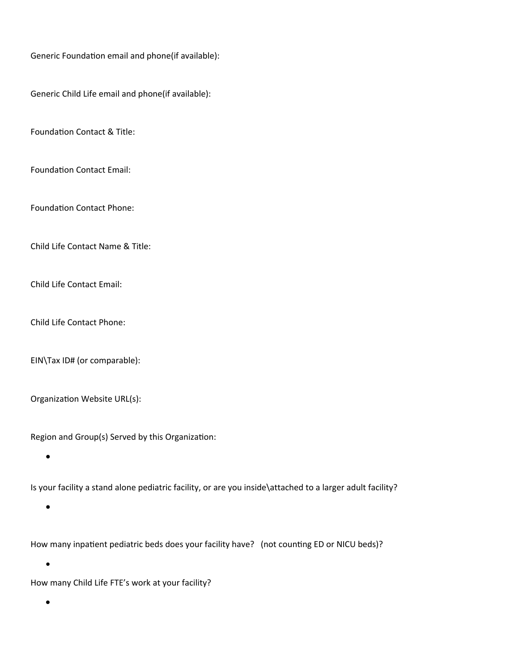Generic Foundation email and phone(if available):

Generic Child Life email and phone(if available):

Foundation Contact & Title:

Foundation Contact Email:

Foundation Contact Phone:

Child Life Contact Name & Title:

Child Life Contact Email:

Child Life Contact Phone:

EIN\Tax ID# (or comparable):

Organization Website URL(s):

Region and Group(s) Served by this Organization:

 $\bullet$ 

Is your facility a stand alone pediatric facility, or are you inside\attached to a larger adult facility?

 $\bullet$ 

How many inpatient pediatric beds does your facility have? (not counting ED or NICU beds)?

How many Child Life FTE's work at your facility?

 $\bullet$ 

 $\bullet$